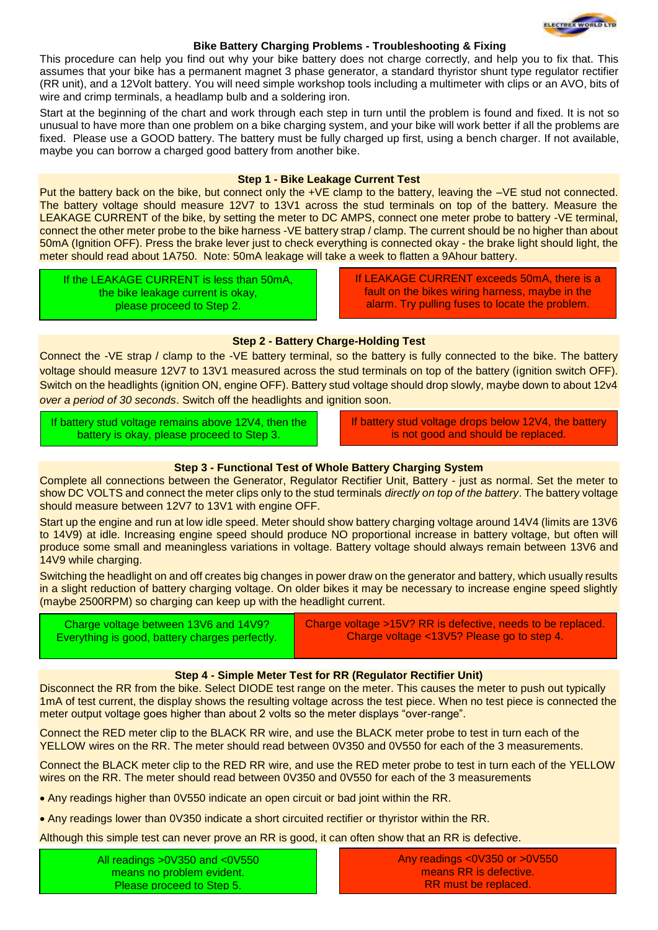

## **Bike Battery Charging Problems - Troubleshooting & Fixing**

This procedure can help you find out why your bike battery does not charge correctly, and help you to fix that. This assumes that your bike has a permanent magnet 3 phase generator, a standard thyristor shunt type regulator rectifier (RR unit), and a 12Volt battery. You will need simple workshop tools including a multimeter with clips or an AVO, bits of wire and crimp terminals, a headlamp bulb and a soldering iron.

Start at the beginning of the chart and work through each step in turn until the problem is found and fixed. It is not so unusual to have more than one problem on a bike charging system, and your bike will work better if all the problems are fixed. Please use a GOOD battery. The battery must be fully charged up first, using a bench charger. If not available, maybe you can borrow a charged good battery from another bike.

#### **Step 1 - Bike Leakage Current Test**

Put the battery back on the bike, but connect only the +VE clamp to the battery, leaving the –VE stud not connected. The battery voltage should measure 12V7 to 13V1 across the stud terminals on top of the battery. Measure the LEAKAGE CURRENT of the bike, by setting the meter to DC AMPS, connect one meter probe to battery -VE terminal, connect the other meter probe to the bike harness -VE battery strap / clamp. The current should be no higher than about 50mA (Ignition OFF). Press the brake lever just to check everything is connected okay - the brake light should light, the meter should read about 1A750. Note: 50mA leakage will take a week to flatten a 9Ahour battery.

If the LEAKAGE CURRENT is less than 50mA, the bike leakage current is okay, please proceed to Step 2.

If LEAKAGE CURRENT exceeds 50mA, there is a fault on the bikes wiring harness, maybe in the alarm. Try pulling fuses to locate the problem.

## **Step 2 - Battery Charge-Holding Test**

Connect the -VE strap / clamp to the -VE battery terminal, so the battery is fully connected to the bike. The battery voltage should measure 12V7 to 13V1 measured across the stud terminals on top of the battery (ignition switch OFF). Switch on the headlights (ignition ON, engine OFF). Battery stud voltage should drop slowly, maybe down to about 12v4 over a period of 30 seconds. Switch off the headlights and ignition soon.

If battery stud voltage remains above 12V4, then the battery is okay, please proceed to Step 3.

If battery stud voltage drops below 12V4, the battery is not good and should be replaced.

# **Step 3 - Functional Test of Whole Battery Charging System**

Complete all connections between the Generator, Regulator Rectifier Unit, Battery - just as normal. Set the meter to show DC VOLTS and connect the meter clips only to the stud terminals *directly on top of the battery*. The battery voltage should measure between 12V7 to 13V1 with engine OFF.

Start up the engine and run at low idle speed. Meter should show battery charging voltage around 14V4 (limits are 13V6 to 14V9) at idle. Increasing engine speed should produce NO proportional increase in battery voltage, but often will produce some small and meaningless variations in voltage. Battery voltage should always remain between 13V6 and 14V9 while charging.

Switching the headlight on and off creates big changes in power draw on the generator and battery, which usually results in a slight reduction of battery charging voltage. On older bikes it may be necessary to increase engine speed slightly (maybe 2500RPM) so charging can keep up with the headlight current.

| Charge voltage between 13V6 and 14V9?          | Charge voltage >15V? RR is defective, needs to be replaced. |
|------------------------------------------------|-------------------------------------------------------------|
| Everything is good, battery charges perfectly. | Charge voltage <13V5? Please go to step 4.                  |

## **Step 4 - Simple Meter Test for RR (Regulator Rectifier Unit)**

Disconnect the RR from the bike. Select DIODE test range on the meter. This causes the meter to push out typically 1mA of test current, the display shows the resulting voltage across the test piece. When no test piece is connected the meter output voltage goes higher than about 2 volts so the meter displays "over-range".

Connect the RED meter clip to the BLACK RR wire, and use the BLACK meter probe to test in turn each of the YELLOW wires on the RR. The meter should read between 0V350 and 0V550 for each of the 3 measurements.

Connect the BLACK meter clip to the RED RR wire, and use the RED meter probe to test in turn each of the YELLOW wires on the RR. The meter should read between 0V350 and 0V550 for each of the 3 measurements

Any readings higher than 0V550 indicate an open circuit or bad joint within the RR.

Any readings lower than 0V350 indicate a short circuited rectifier or thyristor within the RR.

Although this simple test can never prove an RR is good, it can often show that an RR is defective.

All readings >0V350 and <0V550 means no problem evident. Please proceed to Step 5.

Any readings <0V350 or >0V550 means RR is defective. RR must be replaced.

.